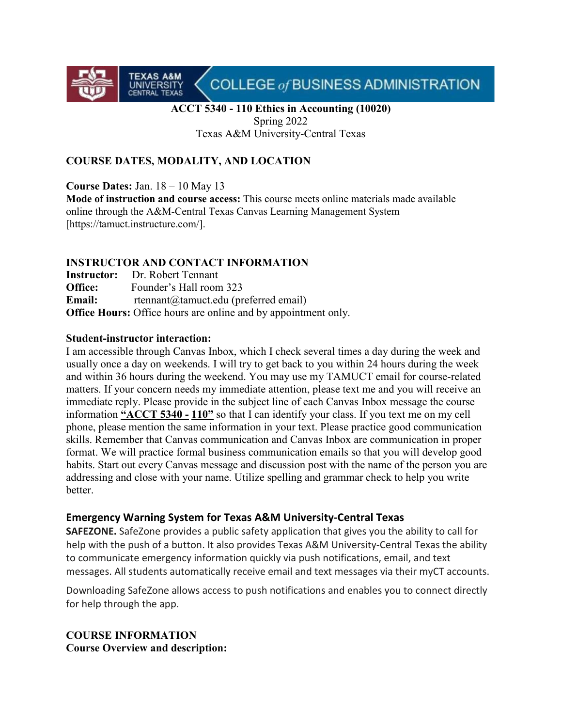# COLLEGE of BUSINESS ADMINISTRATION

# **ACCT 5340 - 110 Ethics in Accounting (10020)**

Spring 2022 Texas A&M University-Central Texas

## **COURSE DATES, MODALITY, AND LOCATION**

**Course Dates:** Jan. 18 – 10 May 13

**TEXAS A&M**<br>UNIVERSITY<br>CENTRAL TEXAS

**Mode of instruction and course access:** This course meets online materials made available online through the A&M-Central Texas Canvas Learning Management System [https://tamuct.instructure.com/].

## **INSTRUCTOR AND CONTACT INFORMATION**

**Instructor:** Dr. Robert Tennant **Office:** Founder's Hall room 323 **Email:** rtennant@tamuct.edu (preferred email) **Office Hours:** Office hours are online and by appointment only.

#### **Student-instructor interaction:**

I am accessible through Canvas Inbox, which I check several times a day during the week and usually once a day on weekends. I will try to get back to you within 24 hours during the week and within 36 hours during the weekend. You may use my TAMUCT email for course-related matters. If your concern needs my immediate attention, please text me and you will receive an immediate reply. Please provide in the subject line of each Canvas Inbox message the course information **"ACCT 5340 - 110"** so that I can identify your class. If you text me on my cell phone, please mention the same information in your text. Please practice good communication skills. Remember that Canvas communication and Canvas Inbox are communication in proper format. We will practice formal business communication emails so that you will develop good habits. Start out every Canvas message and discussion post with the name of the person you are addressing and close with your name. Utilize spelling and grammar check to help you write better.

## **Emergency Warning System for Texas A&M University-Central Texas**

**SAFEZONE.** SafeZone provides a public safety application that gives you the ability to call for help with the push of a button. It also provides Texas A&M University-Central Texas the ability to communicate emergency information quickly via push notifications, email, and text messages. All students automatically receive email and text messages via their myCT accounts.

Downloading SafeZone allows access to push notifications and enables you to connect directly for help through the app.

## **COURSE INFORMATION Course Overview and description:**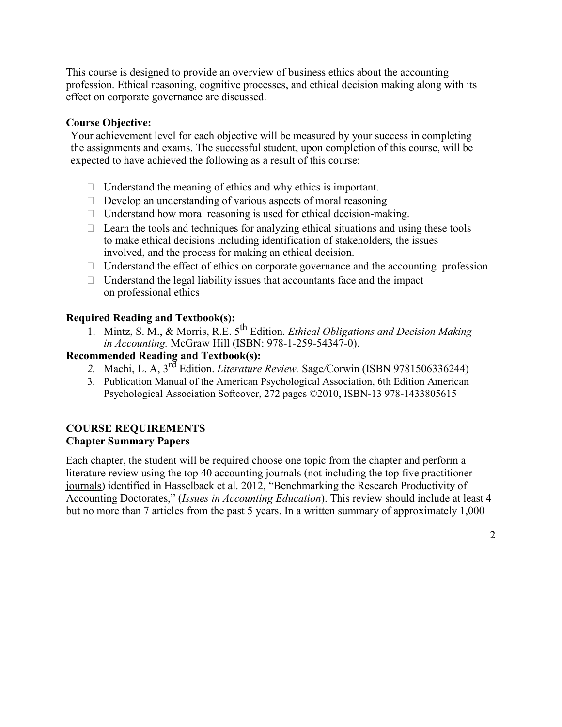This course is designed to provide an overview of business ethics about the accounting profession. Ethical reasoning, cognitive processes, and ethical decision making along with its effect on corporate governance are discussed.

#### **Course Objective:**

Your achievement level for each objective will be measured by your success in completing the assignments and exams. The successful student, upon completion of this course, will be expected to have achieved the following as a result of this course:

- $\Box$  Understand the meaning of ethics and why ethics is important.
- $\Box$  Develop an understanding of various aspects of moral reasoning
- $\Box$  Understand how moral reasoning is used for ethical decision-making.
- $\Box$  Learn the tools and techniques for analyzing ethical situations and using these tools to make ethical decisions including identification of stakeholders, the issues involved, and the process for making an ethical decision.
- $\Box$  Understand the effect of ethics on corporate governance and the accounting profession
- $\Box$  Understand the legal liability issues that accountants face and the impact on professional ethics

#### **Required Reading and Textbook(s):**

1. Mintz, S. M., & Morris, R.E. 5th Edition. *Ethical Obligations and Decision Making in Accounting.* McGraw Hill (ISBN: 978-1-259-54347-0).

#### **Recommended Reading and Textbook(s):**

- *2.* Machi, L. A, 3rd Edition. *Literature Review.* Sage*/*Corwin (ISBN 9781506336244)
- 3. Publication Manual of the American Psychological Association, 6th Edition American Psychological Association Softcover, 272 pages ©2010, ISBN-13 978-1433805615

## **COURSE REQUIREMENTS Chapter Summary Papers**

Each chapter, the student will be required choose one topic from the chapter and perform a literature review using the top 40 accounting journals (not including the top five practitioner journals) identified in Hasselback et al. 2012, "Benchmarking the Research Productivity of Accounting Doctorates," (*Issues in Accounting Education*). This review should include at least 4 but no more than 7 articles from the past 5 years. In a written summary of approximately 1,000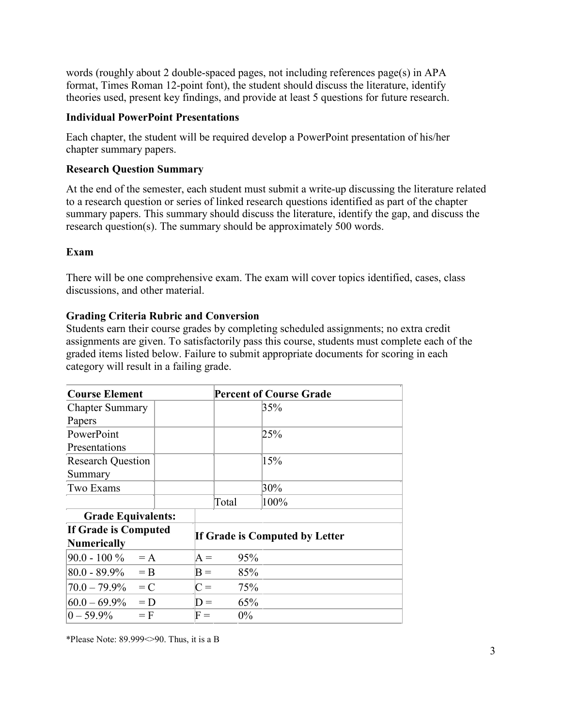words (roughly about 2 double-spaced pages, not including references page(s) in APA format, Times Roman 12-point font), the student should discuss the literature, identify theories used, present key findings, and provide at least 5 questions for future research.

#### **Individual PowerPoint Presentations**

Each chapter, the student will be required develop a PowerPoint presentation of his/her chapter summary papers.

#### **Research Question Summary**

At the end of the semester, each student must submit a write-up discussing the literature related to a research question or series of linked research questions identified as part of the chapter summary papers. This summary should discuss the literature, identify the gap, and discuss the research question(s). The summary should be approximately 500 words.

#### **Exam**

There will be one comprehensive exam. The exam will cover topics identified, cases, class discussions, and other material.

#### **Grading Criteria Rubric and Conversion**

Students earn their course grades by completing scheduled assignments; no extra credit assignments are given. To satisfactorily pass this course, students must complete each of the graded items listed below. Failure to submit appropriate documents for scoring in each category will result in a failing grade.

| <b>Course Element</b>     |       |  |                                | <b>Percent of Course Grade</b> |      |  |
|---------------------------|-------|--|--------------------------------|--------------------------------|------|--|
| <b>Chapter Summary</b>    |       |  |                                |                                | 35%  |  |
| Papers                    |       |  |                                |                                |      |  |
| PowerPoint                |       |  |                                |                                | 25%  |  |
| Presentations             |       |  |                                |                                |      |  |
| <b>Research Question</b>  |       |  |                                |                                | 15%  |  |
| Summary                   |       |  |                                |                                |      |  |
| Two Exams                 |       |  |                                |                                | 30%  |  |
|                           |       |  |                                | Total                          | 100% |  |
| <b>Grade Equivalents:</b> |       |  |                                |                                |      |  |
| If Grade is Computed      |       |  | If Grade is Computed by Letter |                                |      |  |
| <b>Numerically</b>        |       |  |                                |                                |      |  |
| $90.0 - 100 \%$           | $= A$ |  | $A =$                          | 95%                            |      |  |
| $80.0 - 89.9\%$           | $=$ B |  | $B =$                          | 85%                            |      |  |
| $70.0$ — $79.9\%$         | $= C$ |  | $C =$                          | 75%                            |      |  |
| $60.0 - 69.9\%$           | $= D$ |  | $D =$                          | 65%                            |      |  |
| $0 - 59.9\%$              | $=$ F |  | $\mathrm{F} =$                 | $0\%$                          |      |  |

\*Please Note:  $89.999 \le 90$ . Thus, it is a B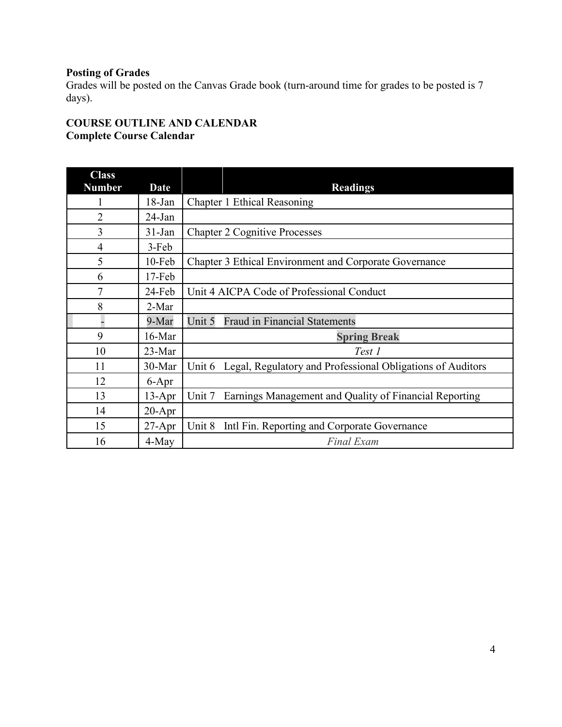## **Posting of Grades**

Grades will be posted on the Canvas Grade book (turn-around time for grades to be posted is 7 days).

## **COURSE OUTLINE AND CALENDAR Complete Course Calendar**

| <b>Class</b>   |            |                                                                      |
|----------------|------------|----------------------------------------------------------------------|
| <b>Number</b>  | Date       | <b>Readings</b>                                                      |
|                | $18$ -Jan  | Chapter 1 Ethical Reasoning                                          |
| $\overline{2}$ | $24$ -Jan  |                                                                      |
| 3              | $31$ -Jan  | <b>Chapter 2 Cognitive Processes</b>                                 |
| 4              | 3-Feb      |                                                                      |
| 5              | $10$ -Feb  | Chapter 3 Ethical Environment and Corporate Governance               |
| 6              | $17$ -Feb  |                                                                      |
| 7              | 24-Feb     | Unit 4 AICPA Code of Professional Conduct                            |
| 8              | 2-Mar      |                                                                      |
|                | 9-Mar      | Unit 5<br><b>Fraud in Financial Statements</b>                       |
| 9              | 16-Mar     | <b>Spring Break</b>                                                  |
| 10             | 23-Mar     | Test 1                                                               |
| 11             | 30-Mar     | Legal, Regulatory and Professional Obligations of Auditors<br>Unit 6 |
| 12             | 6-Apr      |                                                                      |
| 13             | $13$ -Apr  | Unit 7<br>Earnings Management and Quality of Financial Reporting     |
| 14             | $20 - Apr$ |                                                                      |
| 15             | $27 - Apr$ | Unit 8<br>Intl Fin. Reporting and Corporate Governance               |
| 16             | 4-May      | <b>Final Exam</b>                                                    |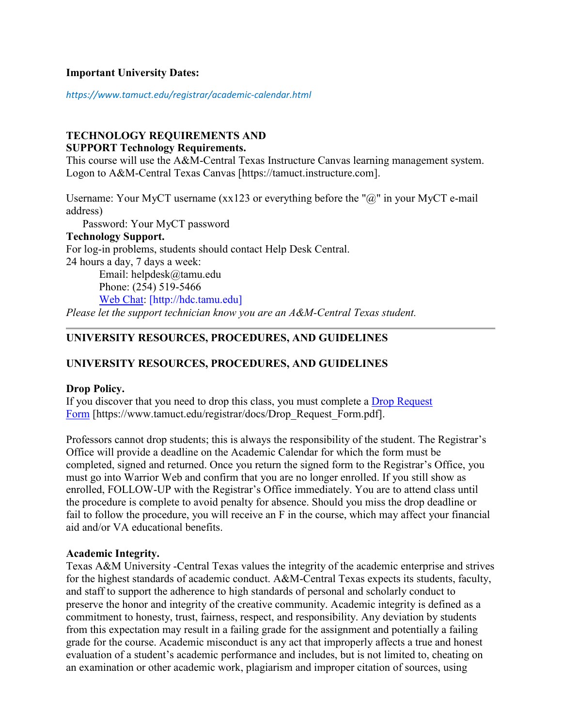#### **Important University Dates:**

*https://www.tamuct.edu/registrar/academic-calendar.html*

#### **TECHNOLOGY REQUIREMENTS AND SUPPORT Technology Requirements.**

This course will use the A&M-Central Texas Instructure Canvas learning management system. Logon to A&M-Central Texas Canvas [https://tamuct.instructure.com].

Username: Your MyCT username  $(xx123$  or everything before the " $@$ " in your MyCT e-mail address)

Password: Your MyCT password

**Technology Support.** For log-in problems, students should contact Help Desk Central. 24 hours a day, 7 days a week: Email: helpdesk@tamu.edu Phone: (254) 519-5466 [Web Chat: \[](http://hdc.tamu.edu/)http://hdc.tamu.edu]

*Please let the support technician know you are an A&M-Central Texas student.*

## **UNIVERSITY RESOURCES, PROCEDURES, AND GUIDELINES**

## **UNIVERSITY RESOURCES, PROCEDURES, AND GUIDELINES**

#### **Drop Policy.**

If you discover that you need to drop this class, you must complete a [Drop Request](https://www.tamuct.edu/registrar/docs/Drop_Request_Form.pdf)  [Form](https://www.tamuct.edu/registrar/docs/Drop_Request_Form.pdf) [https://www.tamuct.edu/registrar/docs/Drop\_Request\_Form.pdf].

Professors cannot drop students; this is always the responsibility of the student. The Registrar's Office will provide a deadline on the Academic Calendar for which the form must be completed, signed and returned. Once you return the signed form to the Registrar's Office, you must go into Warrior Web and confirm that you are no longer enrolled. If you still show as enrolled, FOLLOW-UP with the Registrar's Office immediately. You are to attend class until the procedure is complete to avoid penalty for absence. Should you miss the drop deadline or fail to follow the procedure, you will receive an F in the course, which may affect your financial aid and/or VA educational benefits.

#### **Academic Integrity.**

Texas A&M University -Central Texas values the integrity of the academic enterprise and strives for the highest standards of academic conduct. A&M-Central Texas expects its students, faculty, and staff to support the adherence to high standards of personal and scholarly conduct to preserve the honor and integrity of the creative community. Academic integrity is defined as a commitment to honesty, trust, fairness, respect, and responsibility. Any deviation by students from this expectation may result in a failing grade for the assignment and potentially a failing grade for the course. Academic misconduct is any act that improperly affects a true and honest evaluation of a student's academic performance and includes, but is not limited to, cheating on an examination or other academic work, plagiarism and improper citation of sources, using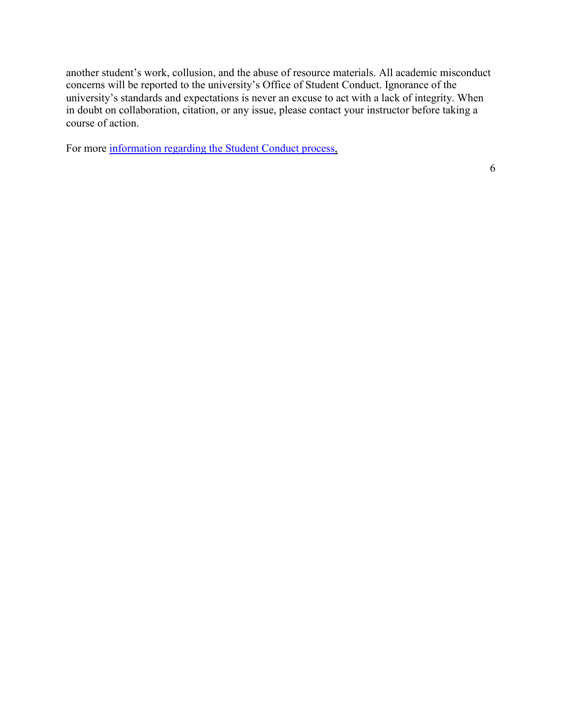another student's work, collusion, and the abuse of resource materials. All academic misconduct concerns will be reported to the university's Office of Student Conduct. Ignorance of the university's standards and expectations is never an excuse to act with a lack of integrity. When in doubt on collaboration, citation, or any issue, please contact your instructor before taking a course of action.

For more [information regarding the Student Conduct process,](https://tamuct.campuslabs.com/engage/organization/tamuct-student-conduct-pane)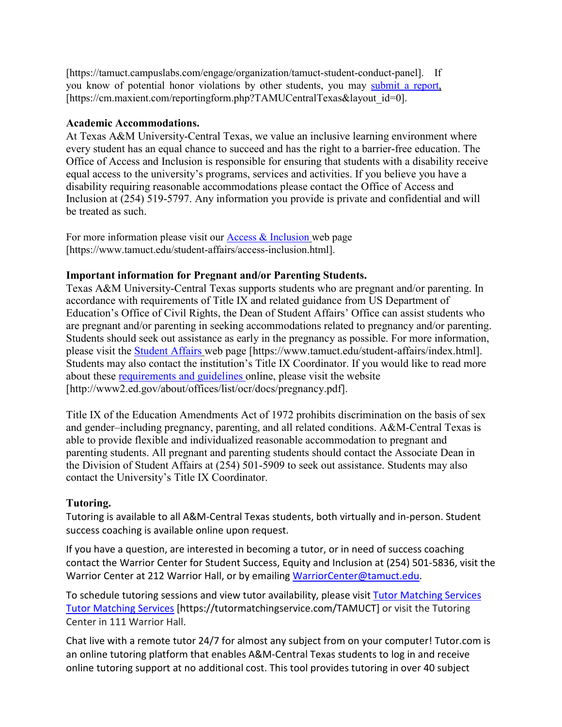[https://tamuct.campuslabs.com/engage/organization/tamuct-student-conduct-panel]. If you know of potential honor violations by other students, you may [submit a report,](https://cm.maxient.com/reportingform.php?TAMUCentralTexas&layout_id=0) [https://cm.maxient.com/reportingform.php?TAMUCentralTexas&layout\_id=0].

#### **Academic Accommodations.**

At Texas A&M University-Central Texas, we value an inclusive learning environment where every student has an equal chance to succeed and has the right to a barrier-free education. The Office of Access and Inclusion is responsible for ensuring that students with a disability receive equal access to the university's programs, services and activities. If you believe you have a disability requiring reasonable accommodations please contact the Office of Access and Inclusion at (254) 519-5797. Any information you provide is private and confidential and will be treated as such.

For more information please visit our **Access & Inclusion** web page [https://www.tamuct.edu/student-affairs/access-inclusion.html].

## **Important information for Pregnant and/or Parenting Students.**

Texas A&M University-Central Texas supports students who are pregnant and/or parenting. In accordance with requirements of Title IX and related guidance from US Department of Education's Office of Civil Rights, the Dean of Student Affairs' Office can assist students who are pregnant and/or parenting in seeking accommodations related to pregnancy and/or parenting. Students should seek out assistance as early in the pregnancy as possible. For more information, please visit the [Student Affairs](https://www.tamuct.edu/student-affairs/index.html) web page [https://www.tamuct.edu/student-affairs/index.html]. Students may also contact the institution's Title IX Coordinator. If you would like to read more about these [requirements and guidelines o](http://www2.ed.gov/about/offices/list/ocr/docs/pregnancy.pdf)nline, please visit the website [http://www2.ed.gov/about/offices/list/ocr/docs/pregnancy.pdf].

Title IX of the Education Amendments Act of 1972 prohibits discrimination on the basis of sex and gender–including pregnancy, parenting, and all related conditions. A&M-Central Texas is able to provide flexible and individualized reasonable accommodation to pregnant and parenting students. All pregnant and parenting students should contact the Associate Dean in the Division of Student Affairs at (254) 501-5909 to seek out assistance. Students may also contact the University's Title IX Coordinator.

#### **Tutoring.**

Tutoring is available to all A&M-Central Texas students, both virtually and in-person. Student success coaching is available online upon request.

If you have a question, are interested in becoming a tutor, or in need of success coaching contact the Warrior Center for Student Success, Equity and Inclusion at (254) 501-5836, visit the Warrior Center at 212 Warrior Hall, or by emailing [WarriorCenter@tamuct.edu.](mailto:WarriorCenter@tamuct.edu)

To schedule tutoring sessions and view tutor availability, please visit Tutor [Matching](https://tutormatchingservice.com/TAMUCT) Services Tutor [Matching](https://tutormatchingservice.com/TAMUCT) Services [https://tutormatchingservice.com/TAMUCT] or visit the Tutoring Center in 111 Warrior Hall.

Chat live with a remote tutor 24/7 for almost any subject from on your computer! Tutor.com is an online tutoring platform that enables A&M-Central Texas students to log in and receive online tutoring support at no additional cost. This tool provides tutoring in over 40 subject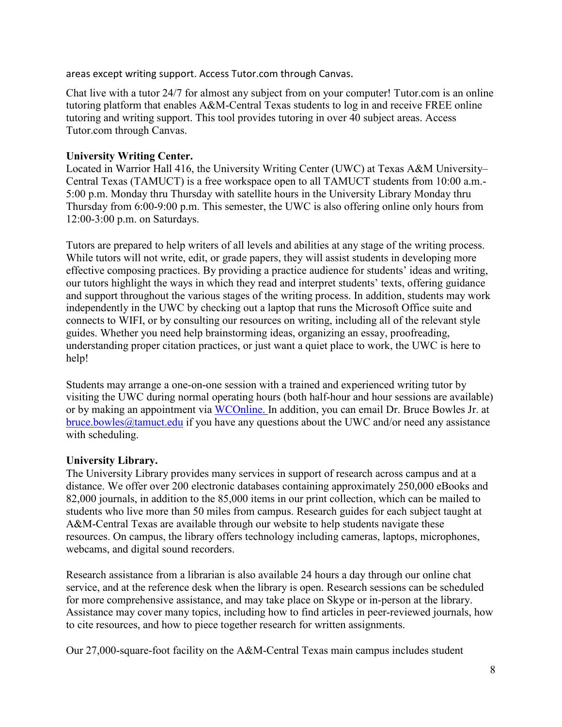areas except writing support. Access Tutor.com through Canvas.

Chat live with a tutor 24/7 for almost any subject from on your computer! Tutor.com is an online tutoring platform that enables A&M-Central Texas students to log in and receive FREE online tutoring and writing support. This tool provides tutoring in over 40 subject areas. Access Tutor.com through Canvas.

#### **University Writing Center.**

Located in Warrior Hall 416, the University Writing Center (UWC) at Texas A&M University– Central Texas (TAMUCT) is a free workspace open to all TAMUCT students from 10:00 a.m.- 5:00 p.m. Monday thru Thursday with satellite hours in the University Library Monday thru Thursday from 6:00-9:00 p.m. This semester, the UWC is also offering online only hours from 12:00-3:00 p.m. on Saturdays.

Tutors are prepared to help writers of all levels and abilities at any stage of the writing process. While tutors will not write, edit, or grade papers, they will assist students in developing more effective composing practices. By providing a practice audience for students' ideas and writing, our tutors highlight the ways in which they read and interpret students' texts, offering guidance and support throughout the various stages of the writing process. In addition, students may work independently in the UWC by checking out a laptop that runs the Microsoft Office suite and connects to WIFI, or by consulting our resources on writing, including all of the relevant style guides. Whether you need help brainstorming ideas, organizing an essay, proofreading, understanding proper citation practices, or just want a quiet place to work, the UWC is here to help!

Students may arrange a one-on-one session with a trained and experienced writing tutor by visiting the UWC during normal operating hours (both half-hour and hour sessions are available) or by making an appointment via [WCOnline. I](https://tamuct.mywconline.com/)n addition, you can email Dr. Bruce Bowles Jr. at [bruce.bowles@tamuct.edu](mailto:bruce.bowles@tamuct.edu) if you have any questions about the UWC and/or need any assistance with scheduling.

## **University Library.**

The University Library provides many services in support of research across campus and at a distance. We offer over 200 electronic databases containing approximately 250,000 eBooks and 82,000 journals, in addition to the 85,000 items in our print collection, which can be mailed to students who live more than 50 miles from campus. Research guides for each subject taught at A&M-Central Texas are available through our website to help students navigate these resources. On campus, the library offers technology including cameras, laptops, microphones, webcams, and digital sound recorders.

Research assistance from a librarian is also available 24 hours a day through our online chat service, and at the reference desk when the library is open. Research sessions can be scheduled for more comprehensive assistance, and may take place on Skype or in-person at the library. Assistance may cover many topics, including how to find articles in peer-reviewed journals, how to cite resources, and how to piece together research for written assignments.

Our 27,000-square-foot facility on the A&M-Central Texas main campus includes student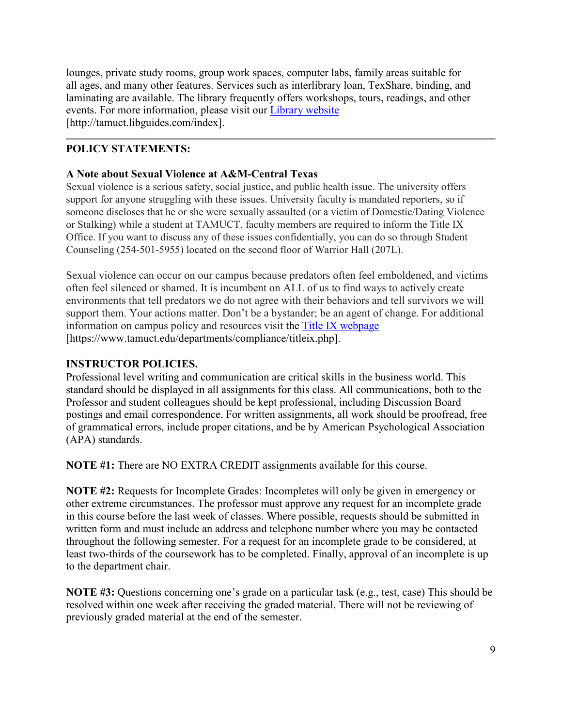lounges, private study rooms, group work spaces, computer labs, family areas suitable for all ages, and many other features. Services such as interlibrary loan, TexShare, binding, and laminating are available. The library frequently offers workshops, tours, readings, and other events. For more information, please visit our [Library website](https://tamuct.libguides.com/index) [http://tamuct.libguides.com/index].

## **POLICY STATEMENTS:**

#### **A Note about Sexual Violence at A&M-Central Texas**

Sexual violence is a serious safety, social justice, and public health issue. The university offers support for anyone struggling with these issues. University faculty is mandated reporters, so if someone discloses that he or she were sexually assaulted (or a victim of Domestic/Dating Violence or Stalking) while a student at TAMUCT, faculty members are required to inform the Title IX Office. If you want to discuss any of these issues confidentially, you can do so through Student Counseling (254-501-5955) located on the second floor of Warrior Hall (207L).

Sexual violence can occur on our campus because predators often feel emboldened, and victims often feel silenced or shamed. It is incumbent on ALL of us to find ways to actively create environments that tell predators we do not agree with their behaviors and tell survivors we will support them. Your actions matter. Don't be a bystander; be an agent of change. For additional information on campus policy and resources visit the [Title IX webpage](https://www.tamuct.edu/departments/compliance/titleix.php) [https://www.tamuct.edu/departments/compliance/titleix.php].

#### **INSTRUCTOR POLICIES.**

Professional level writing and communication are critical skills in the business world. This standard should be displayed in all assignments for this class. All communications, both to the Professor and student colleagues should be kept professional, including Discussion Board postings and email correspondence. For written assignments, all work should be proofread, free of grammatical errors, include proper citations, and be by American Psychological Association (APA) standards.

**NOTE #1:** There are NO EXTRA CREDIT assignments available for this course.

**NOTE #2:** Requests for Incomplete Grades: Incompletes will only be given in emergency or other extreme circumstances. The professor must approve any request for an incomplete grade in this course before the last week of classes. Where possible, requests should be submitted in written form and must include an address and telephone number where you may be contacted throughout the following semester. For a request for an incomplete grade to be considered, at least two-thirds of the coursework has to be completed. Finally, approval of an incomplete is up to the department chair.

**NOTE #3:** Questions concerning one's grade on a particular task (e.g., test, case) This should be resolved within one week after receiving the graded material. There will not be reviewing of previously graded material at the end of the semester.